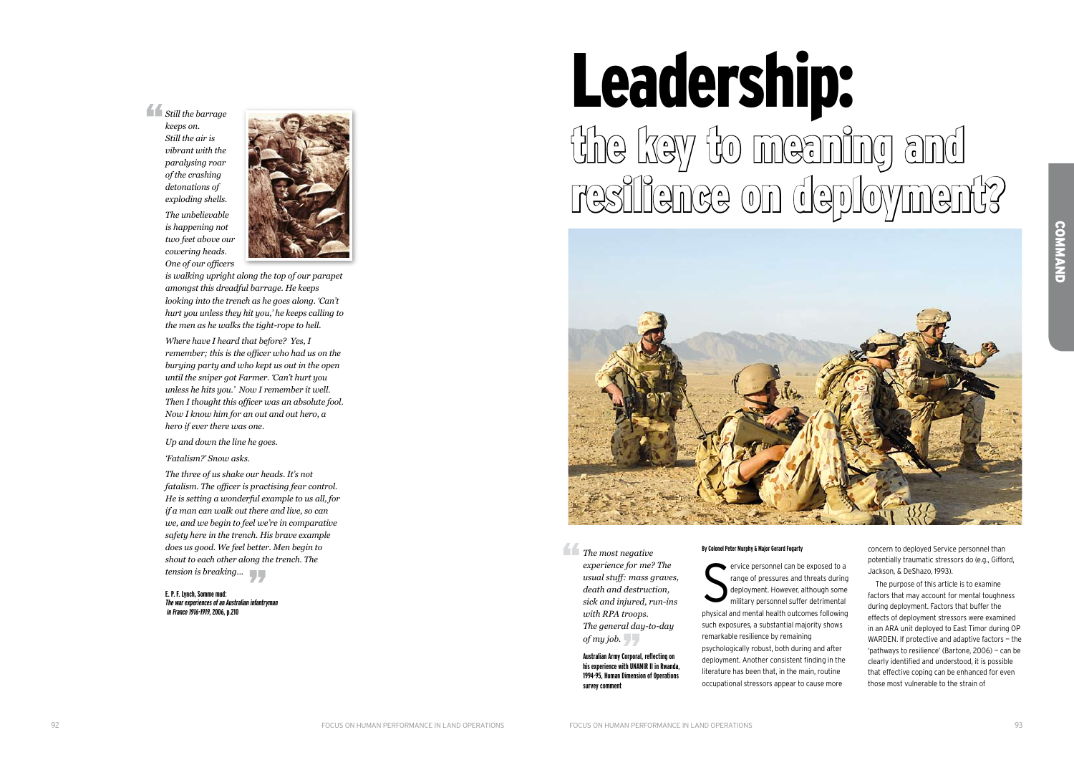# Leadership: the key to meaning and resilience on deployment?



*Still the barrage keeps on.* 

*Still the air is vibrant with the paralysing roar of the crashing detonations of exploding shells.*

*The unbelievable is happening not two feet above our cowering heads. One of our officers* 



*is walking upright along the top of our parapet amongst this dreadful barrage. He keeps looking into the trench as he goes along. 'Can't hurt you unless they hit you,' he keeps calling to the men as he walks the tight-rope to hell.*

*Where have I heard that before? Yes, I remember; this is the officer who had us on the burying party and who kept us out in the open until the sniper got Farmer. 'Can't hurt you unless he hits you.' Now I remember it well. Then I thought this officer was an absolute fool. Now I know him for an out and out hero, a hero if ever there was one.*

*Up and down the line he goes.*

*'Fatalism?' Snow asks.*

*The three of us shake our heads. It's not fatalism. The officer is practising fear control. He is setting a wonderful example to us all, for if a man can walk out there and live, so can we, and we begin to feel we're in comparative safety here in the trench. His brave example does us good. We feel better. Men begin to shout to each other along the trench. The tension is breaking...*

**E. P. F. Lynch, Somme mud: The war experiences of an Australian infantryman in France 1916-1919, 2006, p.210**

#### **By Colonel Peter Murphy & Major Gerard Fogarty**

S ervice personnel can be exposed to a range of pressures and threats during deployment. However, although some military personnel suffer detrimental physical and mental health outcomes following such exposures, a substantial majority shows remarkable resilience by remaining psychologically robust, both during and after deployment. Another consistent finding in the literature has been that, in the main, routine occupational stressors appear to cause more

concern to deployed Service personnel than potentially traumatic stressors do (e.g., Gifford, Jackson, & D e Shazo, 1993).

The purpose of this article is to examine factors that may account for mental toughness during deployment. Factors that buffer the effects of deployment stressors were examined in an ARA unit deployed to East Timor during O WARDEN. If protective and adaptive factors — the 'pathways to resilience' (Bartone, 2006) — can be clearly identified and understood, it is possible that effective coping can be enhanced for even those most vulnerable to the strain of

*The most negative experience for me? The usual stuff: mass graves, death and destruction, sick and injured, run-ins with RPA troops. The general day-to-day of my job.* 

> **Australian Army Corporal, reflecting on his experience with UNAMIR II in Rwanda, 1994-95, Human Dimension of Operations survey comment**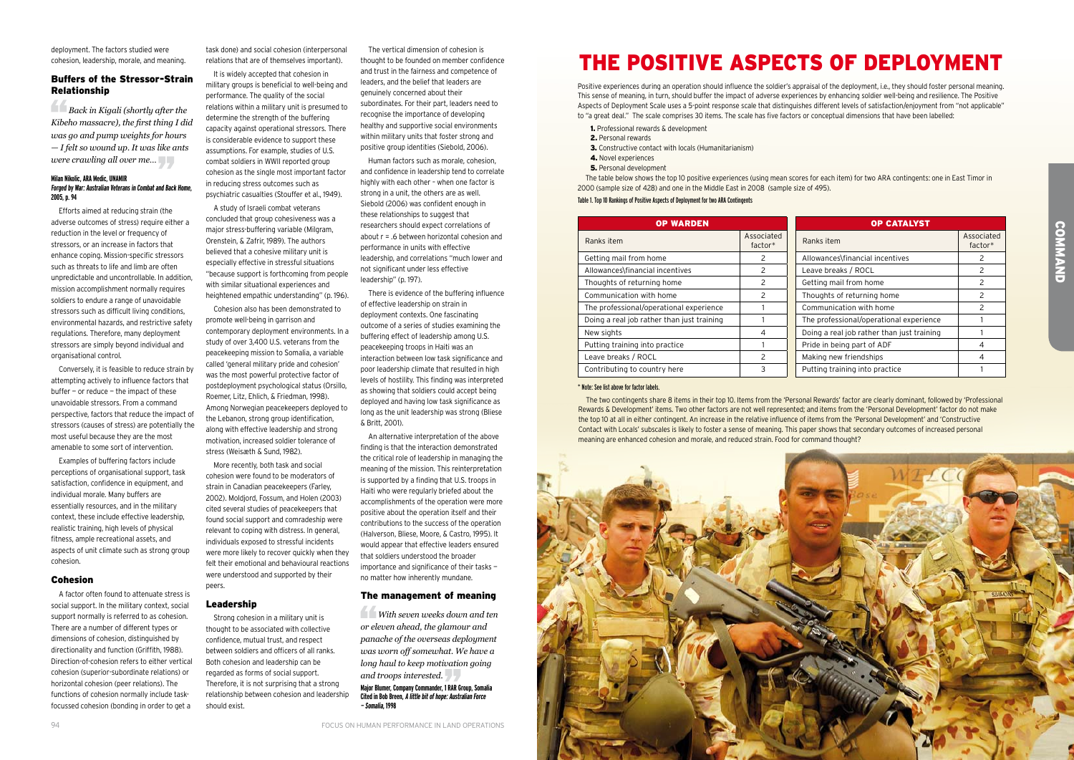deployment. The factors studied were cohesion, leadership, morale, and meaning.

### Buffers of the Stressor-Strain Relationship

*Back in Kigali (shortly after the Kibeho massacre), the first thing I did was go and pump weights for hours — I felt so wound up. It was like ants were crawling all over me…* 

#### **Milan Nikolic, ARA Medic, UNAMIR Forged by War: Australian Veterans in Combat and Back Home, 2005, p. 94**

Efforts aimed at reducing strain (the adverse outcomes of stress) require either a reduction in the level or frequency of stressors, or an increase in factors that enhance coping. Mission-specific stressors such as threats to life and limb are often unpredictable and uncontrollable. In addition, mission accomplishment normally requires soldiers to endure a range of unavoidable stressors such as difficult living conditions, environmental hazards, and restrictive safety regulations. Therefore, many deployment stressors are simply beyond individual and organisational control.

Conversely, it is feasible to reduce strain by attempting actively to influence factors that buffer — or reduce — the impact of these unavoidable stressors. From a command perspective, factors that reduce the impact of stressors (causes of stress) are potentially the most useful because they are the most amenable to some sort of intervention.

A study of Israeli combat veterans concluded that group cohesiveness was a major stress-buffering variable (Milgram, Orenstein, & Zafrir, 1989). The authors believed that a cohesive military unit is especially effective in stressful situations "because support is forthcoming from people with similar situational experiences and heightened empathic understanding" (p. 196).

Examples of buffering factors include perceptions of organisational support, task satisfaction, confidence in equipment, and individual morale. Many buffers are essentially resources, and in the military context, these include effective leadership, realistic training, high levels of physical fitness, ample recreational assets, and aspects of unit climate such as strong group cohesion.

#### Cohesion

A factor often found to attenuate stress is social support. In the military context, social support normally is referred to as cohesion. There are a number of different types or dimensions of cohesion, distinguished by directionality and function (Griffith, 1988). Direction-of-cohesion refers to either vertical cohesion (superior-subordinate relations) or horizontal cohesion (peer relations). The functions of cohesion normally include taskfocussed cohesion (bonding in order to get a

task done) and social cohesion (interpersonal relations that are of themselves important).

It is widely accepted that cohesion in military groups is beneficial to well-being and performance. The quality of the social relations within a military unit is presumed to determine the strength of the buffering capacity against operational stressors. There is considerable evidence to support these assumptions. For example, studies of U.S. combat soldiers in WWII reported group cohesion as the single most important factor in reducing stress outcomes such as psychiatric casualties (Stouffer et al., 1949).

Cohesion also has been demonstrated to promote well-being in garrison and contemporary deployment environments. In a study of over 3,400 U.S. veterans from the peacekeeping mission to Somalia, a variable called 'general military pride and cohesion' was the most powerful protective factor of postdeployment psychological status (Orsillo, Roemer, Litz, Ehlich, & Friedman, 1998). Among Norwegian peacekeepers deployed to the Lebanon, strong group identification, along with effective leadership and strong motivation, increased soldier tolerance of stress (Weisæth & Sund, 1982).

- 1. Professional rewards & development
- 2. Personal rewards
- 3. Constructive contact with locals (Humanitarianism)
- 4. Novel experiences
- 5. Personal development

More recently, both task and social cohesion were found to be moderators of strain in Canadian peacekeepers (Farley, 2002). Moldjord, Fossum, and Holen (2003) cited several studies of peacekeepers that found social support and comradeship were relevant to coping with distress. In general, individuals exposed to stressful incidents were more likely to recover quickly when they felt their emotional and behavioural reactions were understood and supported by their peers.

#### Leadership

Strong cohesion in a military unit is thought to be associated with collective confidence, mutual trust, and respect between soldiers and officers of all ranks. Both cohesion and leadership can be regarded as forms of social support. Therefore, it is not surprising that a strong relationship between cohesion and leadership should exist.

The vertical dimension of cohesion is thought to be founded on member confidence and trust in the fairness and competence of leaders, and the belief that leaders are genuinely concerned about their subordinates. For their part, leaders need to recognise the importance of developing healthy and supportive social environments within military units that foster strong and positive group identities (Siebold, 2006).

Human factors such as morale, cohesion, and confidence in leadership tend to correlate highly with each other – when one factor is strong in a unit, the others are as well. Siebold (2006) was confident enough in these relationships to suggest that researchers should expect correlations of about r = .6 between horizontal cohesion and performance in units with effective leadership, and correlations "much lower and not significant under less effective leadership" (p. 197).

There is evidence of the buffering influence of effective leadership on strain in deployment contexts. One fascinating outcome of a series of studies examining the buffering effect of leadership among U.S. peacekeeping troops in Haiti was an interaction between low task significance and poor leadership climate that resulted in high levels of hostility. This finding was interpreted as showing that soldiers could accept being deployed and having low task significance as long as the unit leadership was strong (Bliese & Britt, 2001).

An alternative interpretation of the above finding is that the interaction demonstrated the critical role of leadership in managing the meaning of the mission. This reinterpretation is supported by a finding that U.S. troops in Haiti who were regularly briefed about the accomplishments of the operation were more positive about the operation itself and their contributions to the success of the operation (Halverson, Bliese, Moore, & Castro, 1995). It would appear that effective leaders ensured that soldiers understood the broader importance and significance of their tasks no matter how inherently mundane.

#### The management of meaning

 *With seven weeks down and ten or eleven ahead, the glamour and panache of the overseas deployment was worn off somewhat. We have a long haul to keep motivation going and troops interested.* 

**Major Blumer, Company Commander, 1 RAR Group, Somalia Cited in Bob Breen, A little bit of hope: Australian Force — Somalia, 1998**

## The Positive Aspects of Deployment

Positive experiences during an operation should influence the soldier's appraisal of the deployment, i.e., they should foster personal meaning. This sense of meaning, in turn, should buffer the impact of adverse experiences by enhancing soldier well-being and resilience. The Positive Aspects of Deployment Scale uses a 5-point response scale that distinguishes different levels of satisfaction/enjoyment from "not applicable" to "a great deal." The scale comprises 30 items. The scale has five factors or conceptual dimensions that have been labelled:

| <b>OP WARDEN</b>                           |                         | <b>OP CATALYST</b>                          |
|--------------------------------------------|-------------------------|---------------------------------------------|
| Ranks item                                 | Associated<br>$factor*$ | Associated<br>Ranks item<br>factor*         |
| Getting mail from home                     | $\mathcal{P}$           | Allowances\financial incentives<br>2        |
| Allowances\financial incentives            | 2                       | 2<br>Leave breaks / ROCL                    |
| Thoughts of returning home                 | 2                       | Getting mail from home<br>2                 |
| Communication with home                    | 2                       | Thoughts of returning home<br>$\mathcal{P}$ |
| The professional/operational experience    |                         | 2<br>Communication with home                |
| Doing a real job rather than just training |                         | The professional/operational experience     |
| New sights                                 | 4                       | Doing a real job rather than just training  |
| Putting training into practice             |                         | Pride in being part of ADF<br>4             |
| Leave breaks / ROCL                        | 2                       | Making new friendships<br>4                 |
| Contributing to country here               | 3                       | Putting training into practice              |

The table below shows the top 10 positive experiences (using mean scores for each item) for two ARA contingents: one in East Timor in 2000 (sample size of 428) and one in the Middle East in 2008 (sample size of 495).

#### Table 1. Top 10 Rankings of Positive Aspects of Deployment for two ARA Contingents

The two contingents share 8 items in their top 10. Items from the 'Personal Rewards' factor are clearly dominant, followed by 'Professional Rewards & Development' items. Two other factors are not well represented; and items from the 'Personal Development' factor do not make the top 10 at all in either contingent. An increase in the relative influence of items from the 'Personal Development' and 'Constructive Contact with Locals' subscales is likely to foster a sense of meaning. This paper shows that secondary outcomes of increased personal meaning are enhanced cohesion and morale, and reduced strain. Food for command thought?



#### \* Note: See list above for factor labels.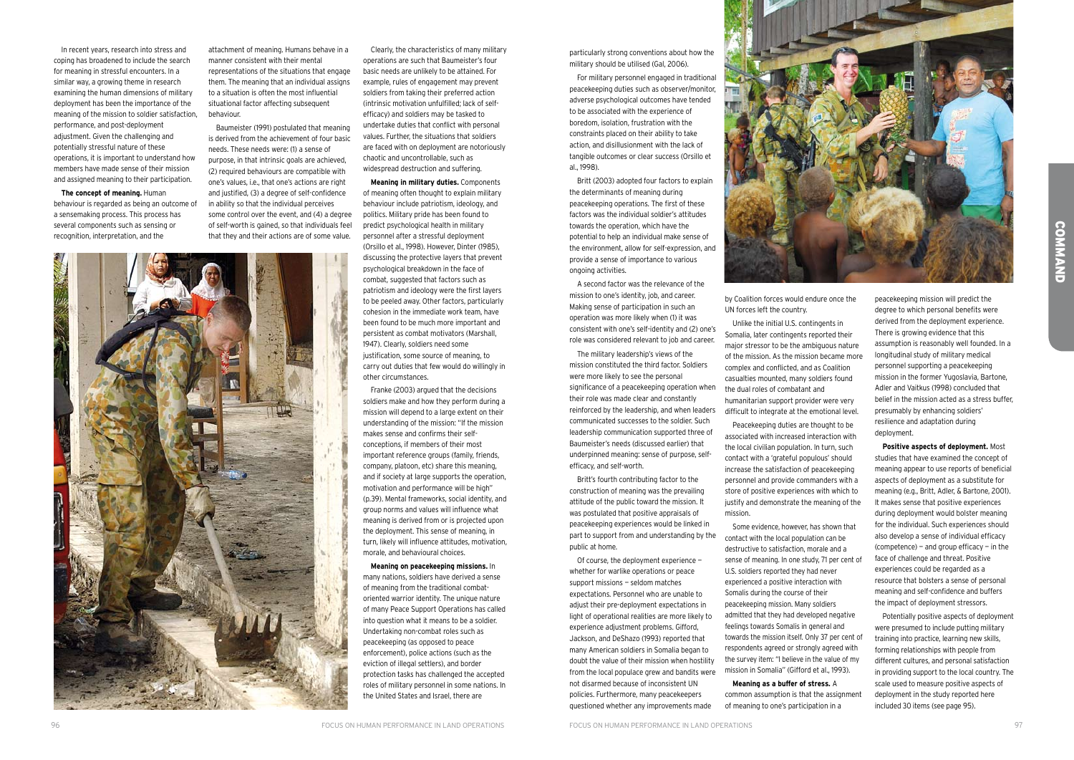particularly strong conventions about how the military should be utilised (Gal, 2006).

For military personnel engaged in traditional peacekeeping duties such as observer/monitor, adverse psychological outcomes have tended to be associated with the experience of boredom, isolation, frustration with the constraints placed on their ability to take action, and disillusionment with the lack of tangible outcomes or clear success (Orsillo et al., 1998).

Britt (2003) adopted four factors to explain the determinants of meaning during peacekeeping operations. The first of these factors was the individual soldier's attitudes towards the operation, which have the potential to help an individual make sense of the environment, allow for self-expression, and provide a sense of importance to various ongoing activities.

A second factor was the relevance of the mission to one's identity, job, and career. Making sense of participation in such an operation was more likely when (1) it was consistent with one's self-identity and (2) one's role was considered relevant to job and career.

The military leadership's views of the mission constituted the third factor. Soldiers were more likely to see the personal significance of a peacekeeping operation when their role was made clear and constantly reinforced by the leadership, and when leaders communicated successes to the soldier. Such leadership communication supported three of Baumeister's needs (discussed earlier) that underpinned meaning: sense of purpose, selfefficacy, and self-worth.

Britt's fourth contributing factor to the construction of meaning was the prevailing attitude of the public toward the mission. It was postulated that positive appraisals of peacekeeping experiences would be linked in part to support from and understanding by the public at home.

Of course, the deployment experience whether for warlike operations or peace support missions — seldom matches expectations. Personnel who are unable to adjust their pre-deployment expectations in light of operational realities are more likely to experience adjustment problems. Gifford, Jackson, and DeShazo (1993) reported that many American soldiers in Somalia began to doubt the value of their mission when hostility from the local populace grew and bandits were not disarmed because of inconsistent UN policies. Furthermore, many peacekeepers questioned whether any improvements made



In recent years, research into stress and coping has broadened to include the search for meaning in stressful encounters. In a similar way, a growing theme in research examining the human dimensions of military deployment has been the importance of the meaning of the mission to soldier satisfaction, performance, and post-deployment adjustment. Given the challenging and potentially stressful nature of these operations, it is important to understand how members have made sense of their mission and assigned meaning to their participation.

**The concept of meaning.** Human behaviour is regarded as being an outcome of a sensemaking process. This process has several components such as sensing or recognition, interpretation, and the

attachment of meaning. Humans behave in a manner consistent with their mental representations of the situations that engage them. The meaning that an individual assigns to a situation is often the most influential situational factor affecting subsequent behaviour.

Baumeister (1991) postulated that meaning is derived from the achievement of four basic needs. These needs were: (1) a sense of purpose, in that intrinsic goals are achieved, (2) required behaviours are compatible with one's values, i.e., that one's actions are right and justified, (3) a degree of self-confidence in ability so that the individual perceives some control over the event, and (4) a degree of self-worth is gained, so that individuals feel that they and their actions are of some value.



Clearly, the characteristics of many military operations are such that Baumeister's four basic needs are unlikely to be attained. For example, rules of engagement may prevent soldiers from taking their preferred action (intrinsic motivation unfulfilled; lack of selfefficacy) and soldiers may be tasked to undertake duties that conflict with personal values. Further, the situations that soldiers are faced with on deployment are notoriously chaotic and uncontrollable, such as widespread destruction and suffering.

**Meaning in military duties.** Components of meaning often thought to explain military behaviour include patriotism, ideology, and politics. Military pride has been found to predict psychological health in military personnel after a stressful deployment (Orsillo et al., 1998). However, Dinter (1985), discussing the protective layers that prevent psychological breakdown in the face of combat, suggested that factors such as patriotism and ideology were the first layers to be peeled away. Other factors, particularly cohesion in the immediate work team, have been found to be much more important and persistent as combat motivators (Marshall, 1947). Clearly, soldiers need some justification, some source of meaning, to carry out duties that few would do willingly in other circumstances.

Franke (2003) argued that the decisions soldiers make and how they perform during a mission will depend to a large extent on their understanding of the mission: "If the mission makes sense and confirms their selfconceptions, if members of their most important reference groups (family, friends, company, platoon, etc) share this meaning, and if society at large supports the operation, motivation and performance will be high" (p.39). Mental frameworks, social identity, and group norms and values will influence what meaning is derived from or is projected upon the deployment. This sense of meaning, in turn, likely will influence attitudes, motivation, morale, and behavioural choices.

**Meaning on peacekeeping missions.** In many nations, soldiers have derived a sense of meaning from the traditional combatoriented warrior identity. The unique nature of many Peace Support Operations has called into question what it means to be a soldier. Undertaking non-combat roles such as peacekeeping (as opposed to peace enforcement), police actions (such as the eviction of illegal settlers), and border protection tasks has challenged the accepted roles of military personnel in some nations. In the United States and Israel, there are

by Coalition forces would endure once the UN forces left the country.

Unlike the initial U.S. contingents in Somalia, later contingents reported their major stressor to be the ambiguous nature of the mission. As the mission became more complex and conflicted, and as Coalition casualties mounted, many soldiers found the dual roles of combatant and humanitarian support provider were very difficult to integrate at the emotional level.

Peacekeeping duties are thought to be associated with increased interaction with the local civilian population. In turn, such contact with a 'grateful populous' should increase the satisfaction of peacekeeping personnel and provide commanders with a store of positive experiences with which to justify and demonstrate the meaning of the mission.

Some evidence, however, has shown that contact with the local population can be destructive to satisfaction, morale and a sense of meaning. In one study, 71 per cent of U.S. soldiers reported they had never experienced a positive interaction with Somalis during the course of their peacekeeping mission. Many soldiers admitted that they had developed negative feelings towards Somalis in general and towards the mission itself. Only 37 per cent of respondents agreed or strongly agreed with the survey item: "I believe in the value of my mission in Somalia" (Gifford et al., 1993).

**Meaning as a buffer of stress.** A common assumption is that the assignment of meaning to one's participation in a

peacekeeping mission will predict the degree to which personal benefits were derived from the deployment experience. There is growing evidence that this assumption is reasonably well founded. In a longitudinal study of military medical personnel supporting a peacekeeping mission in the former Yugoslavia, Bartone, Adler and Vaitkus (1998) concluded that belief in the mission acted as a stress buffer, presumably by enhancing soldiers' resilience and adaptation during deployment.

**Positive aspects of deployment.** Most studies that have examined the concept of meaning appear to use reports of beneficial aspects of deployment as a substitute for meaning (e.g., Britt, Adler, & Bartone, 2001). It makes sense that positive experiences during deployment would bolster meaning for the individual. Such experiences should also develop a sense of individual efficacy (competence) – and group efficacy – in the face of challenge and threat. Positive experiences could be regarded as a resource that bolsters a sense of personal meaning and self-confidence and buffers the impact of deployment stressors.

Potentially positive aspects of deployment were presumed to include putting military training into practice, learning new skills, forming relationships with people from different cultures, and personal satisfaction in providing support to the local country. The scale used to measure positive aspects of deployment in the study reported here included 30 items (see page 95).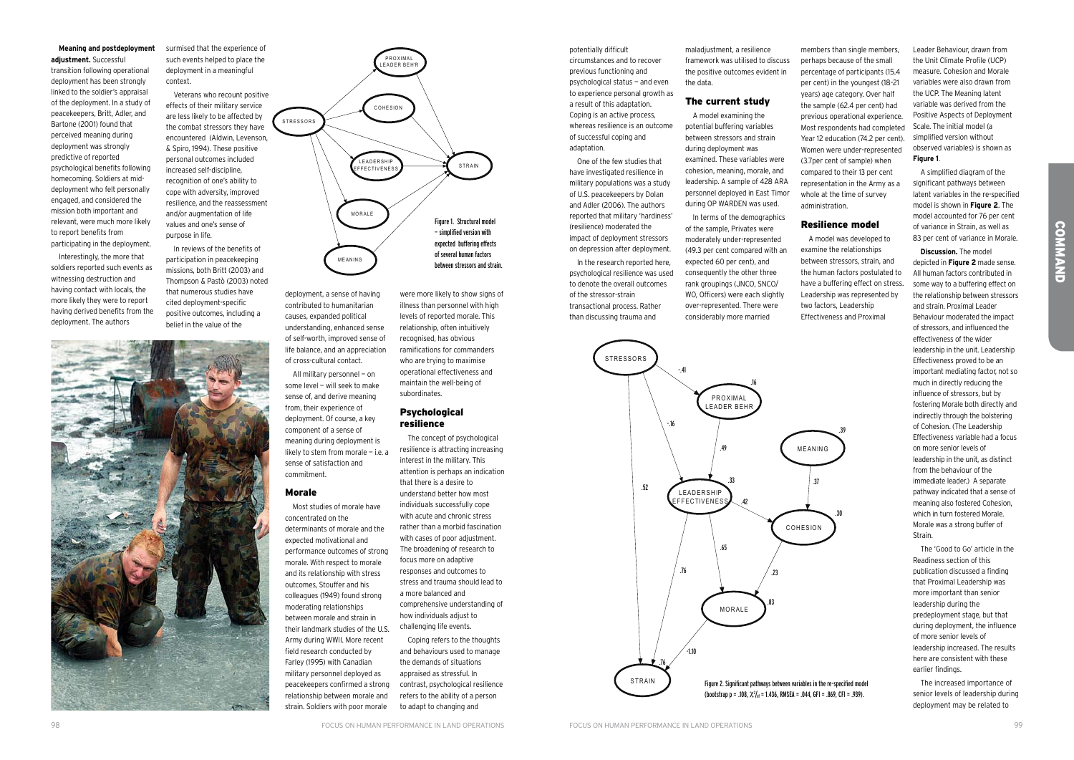**COMMAND COMMAND** 

deployment, a sense of having contributed to humanitarian causes, expanded political understanding, enhanced sense of self-worth, improved sense of life balance, and an appreciation of cross-cultural contact.

All military personnel — on some level — will seek to make sense of, and derive meaning from, their experience of deployment. Of course, a key component of a sense of meaning during deployment is likely to stem from morale — i.e. a sense of satisfaction and commitment.

#### Morale

#### **Psychological** resilience

Most studies of morale have concentrated on the determinants of morale and the expected motivational and performance outcomes of strong morale. With respect to morale and its relationship with stress outcomes, Stouffer and his colleagues (1949) found strong moderating relationships between morale and strain in their landmark studies of the U.S. Army during WWII. More recent field research conducted by Farley (1995) with Canadian military personnel deployed as peacekeepers confirmed a strong relationship between morale and strain. Soldiers with poor morale

were more likely to show signs of illness than personnel with high levels of reported morale. This relationship, often intuitively recognised, has obvious ramifications for commanders who are trying to maximise operational effectiveness and maintain the well-being of

subordinates.

The concept of psychological resilience is attracting increasing interest in the military. This attention is perhaps an indication that there is a desire to understand better how most individuals successfully cope with acute and chronic stress rather than a morbid fascination with cases of poor adjustment. The broadening of research to focus more on adaptive responses and outcomes to stress and trauma should lead to a more balanced and comprehensive understanding of how individuals adjust to challenging life events.

Coping refers to the thoughts and behaviours used to manage the demands of situations appraised as stressful. In contrast, psychological resilience refers to the ability of a person to adapt to changing and

potentially difficult



circumstances and to recover previous functioning and psychological status — and even to experience personal growth as a result of this adaptation. Coping is an active process, whereas resilience is an outcome of successful coping and adaptation.

One of the few studies that have investigated resilience in military populations was a study of U.S. peacekeepers by Dolan and Adler (2006). The authors reported that military 'hardiness' (resilience) moderated the impact of deployment stressors on depression after deployment.

In the research reported here, psychological resilience was used to denote the overall outcomes of the stressor-strain transactional process. Rather than discussing trauma and

maladjustment, a resilience framework was utilised to discuss the positive outcomes evident in the data.

#### The current study

A model examining the potential buffering variables between stressors and strain during deployment was examined. These variables were cohesion, meaning, morale, and leadership. A sample of 428 ARA personnel deployed in East Timor during OP WARDEN was used.

In terms of the demographics of the sample, Privates were moderately under-represented (49.3 per cent compared with an expected 60 per cent), and consequently the other three rank groupings (JNCO, SNCO/ WO, Officers) were each slightly over-represented. There were considerably more married

members than single members, perhaps because of the small percentage of participants (15.4 per cent) in the youngest (18–21 years) age category. Over half the sample (62.4 per cent) had previous operational experience. Most respondents had completed Year 12 education (74.2 per cent). Women were under-represented (3.7per cent of sample) when compared to their 13 per cent representation in the Army as a whole at the time of survey administration.

### Resilience model

A model was developed to examine the relationships between stressors, strain, and the human factors postulated to have a buffering effect on stress. Leadership was represented by two factors, Leadership Effectiveness and Proximal

#### **Meaning and postdeployment adjustment.** Successful

transition following operational deployment has been strongly linked to the soldier's appraisal of the deployment. In a study of peacekeepers, Britt, Adler, and Bartone (2001) found that perceived meaning during deployment was strongly predictive of reported psychological benefits following homecoming. Soldiers at middeployment who felt personally engaged, and considered the mission both important and relevant, were much more likely to report benefits from participating in the deployment.

Interestingly, the more that soldiers reported such events as witnessing destruction and having contact with locals, the more likely they were to report having derived benefits from the deployment. The authors





effects of their military service are less likely to be affected by the combat stressors they have encountered (Aldwin, Levenson, & Spiro, 1994). These positive personal outcomes included increased self-discipline, recognition of one's ability to cope with adversity, improved resilience, and the reassessment and/or augmentation of life values and one's sense of purpose in life.

In reviews of the benefits of participation in peacekeeping missions, both Britt (2003) and Thompson & Pastò (2003) noted that numerous studies have cited deployment-specific positive outcomes, including a belief in the value of the



Leader Behaviour, drawn from the Unit Climate Profile (UCP) measure. Cohesion and Morale variables were also drawn from the UCP. The Meaning latent variable was derived from the Positive Aspects of Deployment Scale. The initial model (a simplified version without observed variables) is shown as **Figure 1**.

A simplified diagram of the significant pathways between latent variables in the re-specified model is shown in **Figure 2**. The model accounted for 76 per cent of variance in Strain, as well as 83 per cent of variance in Morale.

**Discussion.** The model depicted in **Figure 2** made sense. All human factors contributed in some way to a buffering effect on the relationship between stressors and strain. Proximal Leader Behaviour moderated the impact of stressors, and influenced the effectiveness of the wider leadership in the unit. Leadership Effectiveness proved to be an important mediating factor, not so much in directly reducing the influence of stressors, but by fostering Morale both directly and indirectly through the bolstering of Cohesion. (The Leadership Effectiveness variable had a focus on more senior levels of leadership in the unit, as distinct from the behaviour of the immediate leader.) A separate pathway indicated that a sense of meaning also fostered Cohesion, which in turn fostered Morale. Morale was a strong buffer of Strain.

The 'Good to Go' article in the Readiness section of this publication discussed a finding that Proximal Leadership was more important than senior leadership during the predeployment stage, but that during deployment, the influence of more senior levels of leadership increased. The results here are consistent with these earlier findings.

The increased importance of senior levels of leadership during deployment may be related to